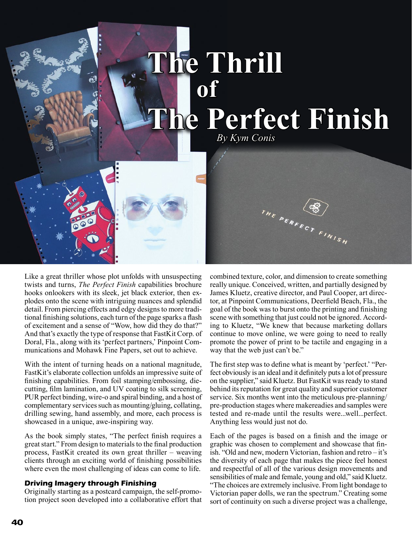# **The Thrill of The Perfect Finish**  *By Kym Conis*THE PERFECT FINISH

Like a great thriller whose plot unfolds with unsuspecting twists and turns, *The Perfect Finish* capabilities brochure hooks onlookers with its sleek, jet black exterior, then explodes onto the scene with intriguing nuances and splendid detail. From piercing effects and edgy designs to more traditional finishing solutions, each turn of the page sparks a flash of excitement and a sense of "Wow, how did they do that?" And that's exactly the type of response that FastKit Corp. of Doral, Fla., along with its 'perfect partners,' Pinpoint Communications and Mohawk Fine Papers, set out to achieve.

With the intent of turning heads on a national magnitude, FastKit's elaborate collection unfolds an impressive suite of finishing capabilities. From foil stamping/embossing, diecutting, film lamination, and UV coating to silk screening, PUR perfect binding, wire-o and spiral binding, and a host of complementary services such as mounting/gluing, collating, drilling sewing, hand assembly, and more, each process is showcased in a unique, awe-inspiring way.

As the book simply states, "The perfect finish requires a great start." From design to materials to the final production process, FastKit created its own great thriller – weaving clients through an exciting world of finishing possibilities where even the most challenging of ideas can come to life.

# **Driving Imagery through Finishing**

Originally starting as a postcard campaign, the self-promotion project soon developed into a collaborative effort that combined texture, color, and dimension to create something really unique. Conceived, written, and partially designed by James Kluetz, creative director, and Paul Cooper, art director, at Pinpoint Communications, Deerfield Beach, Fla., the goal of the book was to burst onto the printing and finishing scene with something that just could not be ignored. According to Kluetz, "We knew that because marketing dollars continue to move online, we were going to need to really promote the power of print to be tactile and engaging in a way that the web just can't be."

The first step was to define what is meant by 'perfect.' "Perfect obviously is an ideal and it definitely puts a lot of pressure on the supplier," said Kluetz. But FastKit was ready to stand behind its reputation for great quality and superior customer service. Six months went into the meticulous pre-planning/ pre-production stages where makereadies and samples were tested and re-made until the results were...well...perfect. Anything less would just not do.

Each of the pages is based on a finish and the image or graphic was chosen to complement and showcase that finish. "Old and new, modern Victorian, fashion and retro – it's the diversity of each page that makes the piece feel honest and respectful of all of the various design movements and sensibilities of male and female, young and old," said Kluetz. "The choices are extremely inclusive. From light bondage to Victorian paper dolls, we ran the spectrum." Creating some sort of continuity on such a diverse project was a challenge,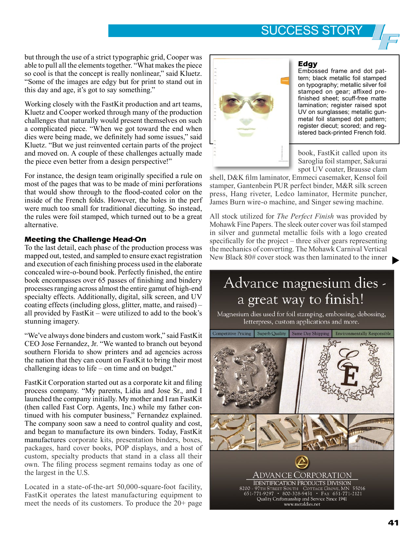# SUCCESS STORY

but through the use of a strict typographic grid, Cooper was able to pull all the elements together. "What makes the piece so cool is that the concept is really nonlinear," said Kluetz. "Some of the images are edgy but for print to stand out in this day and age, it's got to say something."

Working closely with the FastKit production and art teams, Kluetz and Cooper worked through many of the production challenges that naturally would present themselves on such a complicated piece. "When we got toward the end when dies were being made, we definitely had some issues," said Kluetz. "But we just reinvented certain parts of the project and moved on. A couple of these challenges actually made the piece even better from a design perspective!"

For instance, the design team originally specified a rule on most of the pages that was to be made of mini perforations that would show through to the flood-coated color on the inside of the French folds. However, the holes in the perf were much too small for traditional diecutting. So instead, the rules were foil stamped, which turned out to be a great alternative.

## **Meeting the Challenge Head-On**

To the last detail, each phase of the production process was mapped out, tested, and sampled to ensure exact registration and execution of each finishing process used in the elaborate concealed wire-o-bound book. Perfectly finished, the entire book encompasses over 65 passes of finishing and bindery processes ranging across almost the entire gamut of high-end specialty effects. Additionally, digital, silk screen, and UV coating effects (including gloss, glitter, matte, and raised) – all provided by FastKit – were utilized to add to the book's stunning imagery.

"We've always done binders and custom work," said FastKit CEO Jose Fernandez, Jr. "We wanted to branch out beyond southern Florida to show printers and ad agencies across the nation that they can count on FastKit to bring their most challenging ideas to life – on time and on budget."

FastKit Corporation started out as a corporate kit and filing process company. "My parents, Lidia and Jose Sr., and I launched the company initially. My mother and I ran FastKit (then called Fast Corp. Agents, Inc.) while my father continued with his computer business," Fernandez explained. The company soon saw a need to control quality and cost, and began to manufacture its own binders. Today, FastKit manufactures corporate kits, presentation binders, boxes, packages, hard cover books, POP displays, and a host of custom, specialty products that stand in a class all their own. The filing process segment remains today as one of the largest in the U.S.

Located in a state-of-the-art 50,000-square-foot facility, FastKit operates the latest manufacturing equipment to meet the needs of its customers. To produce the 20+ page



### **Edgy**

Embossed frame and dot pattern; black metallic foil stamped on typography; metallic silver foil stamped on gear; affixed prefinished sheet; scuff-free matte lamination; register raised spot UV on sunglasses; metallic gunmetal foil stamped dot pattern; register diecut; scored; and registered back-printed French fold.

book, FastKit called upon its Saroglia foil stamper, Sakurai spot UV coater, Brausse clam

shell, D&K film laminator, Emmeci casemaker, Kensol foil stamper, Gantenbein PUR perfect binder, M&R silk screen press, Hang riveter, Ledco laminator, Hermite puncher, James Burn wire-o machine, and Singer sewing machine.

All stock utilized for *The Perfect Finish* was provided by Mohawk Fine Papers. The sleek outer cover was foil stamped in silver and gunmetal metallic foils with a logo created specifically for the project – three silver gears representing the mechanics of converting. The Mohawk Carnival Vertical New Black 80# cover stock was then laminated to the inner

# Advance magnesium dies a great way to finish!

Magnesium dies used for foil stamping, embossing, debossing, letterpress, custom applications and more.



 $\blacktriangleright$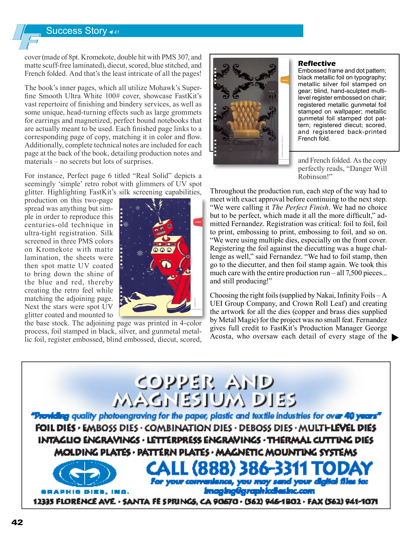# Success Story *<sup>41</sup>*

cover (made of 8pt. Kromekote, double hit with PMS 307, and matte scuff-free laminated), diecut, scored, blue stitched, and French folded. And that's the least intricate of all the pages!

The book's inner pages, which all utilize Mohawk's Superfine Smooth Ultra White 100# cover, showcase FastKit's vast repertoire of finishing and bindery services, as well as some unique, head-turning effects such as large grommets for earrings and magnetized, perfect bound notebooks that are actually meant to be used. Each finished page links to a corresponding page of copy, matching it in color and flow. Additionally, complete technical notes are included for each page at the back of the book, detailing production notes and materials – no secrets but lots of surprises.

For instance, Perfect page 6 titled "Real Solid" depicts a seemingly 'simple' retro robot with glimmers of UV spot glitter. Highlighting FastKit's silk screening capabilities,

production on this two-page spread was anything but simple in order to reproduce this centuries-old technique in ultra-tight registration. Silk screened in three PMS colors on Kromekote with matte lamination, the sheets were then spot matte UV coated to bring down the shine of the blue and red, thereby creating the retro feel while matching the adjoining page. Next the stars were spot UV glitter coated and mounted to



the base stock. The adjoining page was printed in 4-color process, foil stamped in black, silver, and gunmetal metallic foil, register embossed, blind embossed, diecut, scored,



#### **Reflective**

Embossed frame and dot pattern; black metallic foil on typography; metallic silver foil stamped on gear; blind, hand-sculpted multilevel register embossed on chair; registered metallic gunmetal foil stamped on wallpaper; metallic gunmetal foil stamped dot pattern; registered diecut; scored, and registered back-printed French fold.

and French folded. As the copy perfectly reads, "Danger Will Robinson!"

Throughout the production run, each step of the way had to meet with exact approval before continuing to the next step. "We were calling it *The Perfect Finish*. We had no choice but to be perfect, which made it all the more difficult," admitted Fernandez. Registration was critical: foil to foil, foil to print, embossing to print, embossing to foil, and so on. "We were using multiple dies, especially on the front cover. Registering the foil against the diecutting was a huge challenge as well," said Fernandez. "We had to foil stamp, then go to the diecutter, and then foil stamp again. We took this much care with the entire production run – all 7,500 pieces... and still producing!"

Choosing the right foils (supplied by Nakai, Infinity Foils  $-A$ ) UEI Group Company, and Crown Roll Leaf) and creating the artwork for all the dies (copper and brass dies supplied by Metal Magic) for the project was no small feat. Fernandez gives full credit to FastKit's Production Manager George Acosta, who oversaw each detail of every stage of the